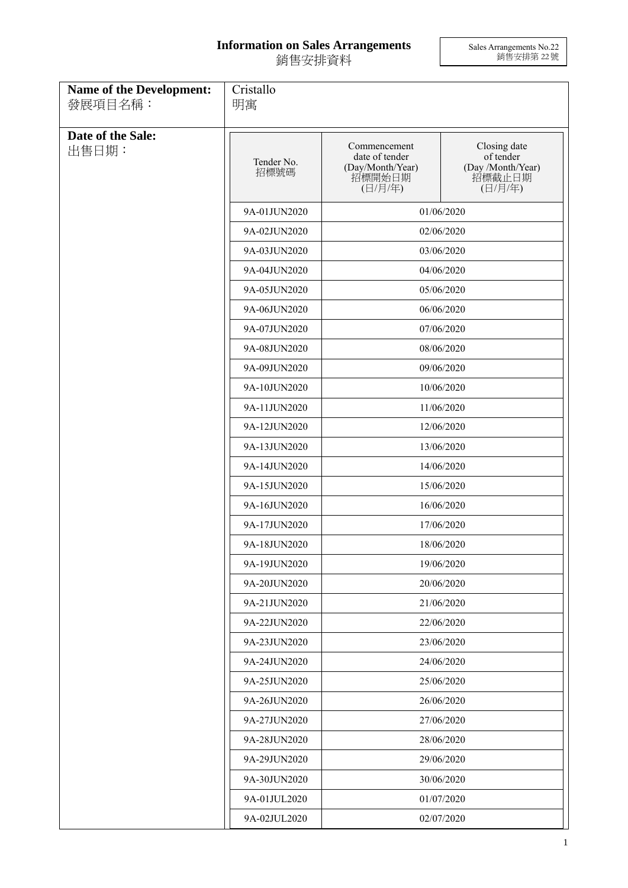## **Information on Sales Arrangements** 銷售安排資料

Sales Arrangements No.22 銷售安排第 22 號

| <b>Name of the Development:</b><br>發展項目名稱: | Cristallo<br>明寓            |                                                                         |                                                                     |  |
|--------------------------------------------|----------------------------|-------------------------------------------------------------------------|---------------------------------------------------------------------|--|
| Date of the Sale:<br>出售日期:                 | Tender No.<br>招標號碼         | Commencement<br>date of tender<br>(Day/Month/Year)<br>招標開始日期<br>(日/月/年) | Closing date<br>of tender<br>(Day /Month/Year)<br>招標截止日期<br>(日/月/年) |  |
|                                            | 9A-01JUN2020               |                                                                         | 01/06/2020                                                          |  |
|                                            | 9A-02JUN2020               |                                                                         | 02/06/2020                                                          |  |
|                                            | 9A-03JUN2020               | 03/06/2020                                                              |                                                                     |  |
|                                            | 9A-04JUN2020               | 04/06/2020                                                              |                                                                     |  |
|                                            | 9A-05JUN2020               | 05/06/2020                                                              |                                                                     |  |
|                                            | 9A-06JUN2020               |                                                                         | 06/06/2020                                                          |  |
|                                            | 9A-07JUN2020               |                                                                         | 07/06/2020                                                          |  |
|                                            | 9A-08JUN2020               |                                                                         | 08/06/2020                                                          |  |
|                                            | 9A-09JUN2020               |                                                                         | 09/06/2020                                                          |  |
|                                            | 9A-10JUN2020               |                                                                         | 10/06/2020                                                          |  |
|                                            | 9A-11JUN2020               | 11/06/2020                                                              |                                                                     |  |
|                                            | 9A-12JUN2020               | 12/06/2020                                                              |                                                                     |  |
|                                            | 9A-13JUN2020               |                                                                         | 13/06/2020                                                          |  |
|                                            | 9A-14JUN2020               |                                                                         | 14/06/2020                                                          |  |
|                                            | 9A-15JUN2020               |                                                                         | 15/06/2020                                                          |  |
|                                            | 9A-16JUN2020               |                                                                         | 16/06/2020                                                          |  |
|                                            | 9A-17JUN2020               |                                                                         | 17/06/2020                                                          |  |
|                                            | 9A-18JUN2020               |                                                                         | 18/06/2020                                                          |  |
|                                            | 9A-19JUN2020               | 19/06/2020                                                              |                                                                     |  |
|                                            | 9A-20JUN2020               |                                                                         | 20/06/2020                                                          |  |
|                                            | 9A-21JUN2020               |                                                                         | 21/06/2020                                                          |  |
|                                            | 9A-22JUN2020               |                                                                         | 22/06/2020                                                          |  |
|                                            | 9A-23JUN2020               |                                                                         | 23/06/2020                                                          |  |
|                                            | 9A-24JUN2020               |                                                                         | 24/06/2020                                                          |  |
|                                            | 9A-25JUN2020               |                                                                         | 25/06/2020                                                          |  |
|                                            | 9A-26JUN2020               | 26/06/2020                                                              |                                                                     |  |
|                                            | 9A-27JUN2020<br>27/06/2020 |                                                                         |                                                                     |  |
|                                            | 9A-28JUN2020               |                                                                         | 28/06/2020                                                          |  |
|                                            | 9A-29JUN2020               |                                                                         | 29/06/2020                                                          |  |
|                                            | 9A-30JUN2020               |                                                                         | 30/06/2020                                                          |  |
|                                            | 9A-01JUL2020               |                                                                         | 01/07/2020                                                          |  |
|                                            | 9A-02JUL2020               | 02/07/2020                                                              |                                                                     |  |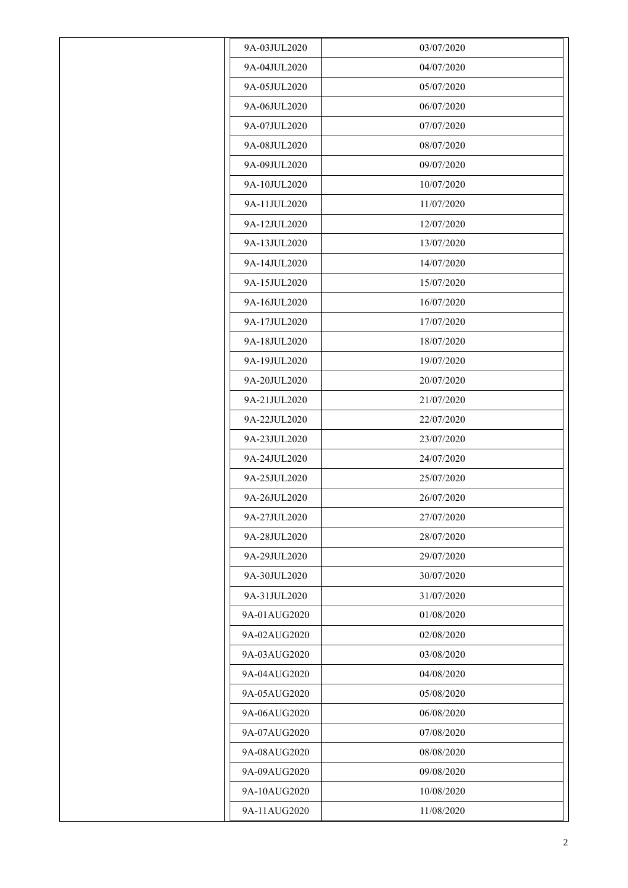| 9A-03JUL2020 | 03/07/2020 |
|--------------|------------|
| 9A-04JUL2020 | 04/07/2020 |
| 9A-05JUL2020 | 05/07/2020 |
| 9A-06JUL2020 | 06/07/2020 |
| 9A-07JUL2020 | 07/07/2020 |
| 9A-08JUL2020 | 08/07/2020 |
| 9A-09JUL2020 | 09/07/2020 |
| 9A-10JUL2020 | 10/07/2020 |
| 9A-11JUL2020 | 11/07/2020 |
| 9A-12JUL2020 | 12/07/2020 |
| 9A-13JUL2020 | 13/07/2020 |
| 9A-14JUL2020 | 14/07/2020 |
| 9A-15JUL2020 | 15/07/2020 |
| 9A-16JUL2020 | 16/07/2020 |
| 9A-17JUL2020 | 17/07/2020 |
| 9A-18JUL2020 | 18/07/2020 |
| 9A-19JUL2020 | 19/07/2020 |
| 9A-20JUL2020 | 20/07/2020 |
| 9A-21JUL2020 | 21/07/2020 |
| 9A-22JUL2020 | 22/07/2020 |
| 9A-23JUL2020 | 23/07/2020 |
| 9A-24JUL2020 | 24/07/2020 |
| 9A-25JUL2020 | 25/07/2020 |
| 9A-26JUL2020 | 26/07/2020 |
| 9A-27JUL2020 | 27/07/2020 |
| 9A-28JUL2020 | 28/07/2020 |
| 9A-29JUL2020 | 29/07/2020 |
| 9A-30JUL2020 | 30/07/2020 |
| 9A-31JUL2020 | 31/07/2020 |
| 9A-01AUG2020 | 01/08/2020 |
| 9A-02AUG2020 | 02/08/2020 |
| 9A-03AUG2020 | 03/08/2020 |
| 9A-04AUG2020 | 04/08/2020 |
| 9A-05AUG2020 | 05/08/2020 |
| 9A-06AUG2020 | 06/08/2020 |
| 9A-07AUG2020 | 07/08/2020 |
| 9A-08AUG2020 | 08/08/2020 |
| 9A-09AUG2020 | 09/08/2020 |
| 9A-10AUG2020 | 10/08/2020 |
| 9A-11AUG2020 | 11/08/2020 |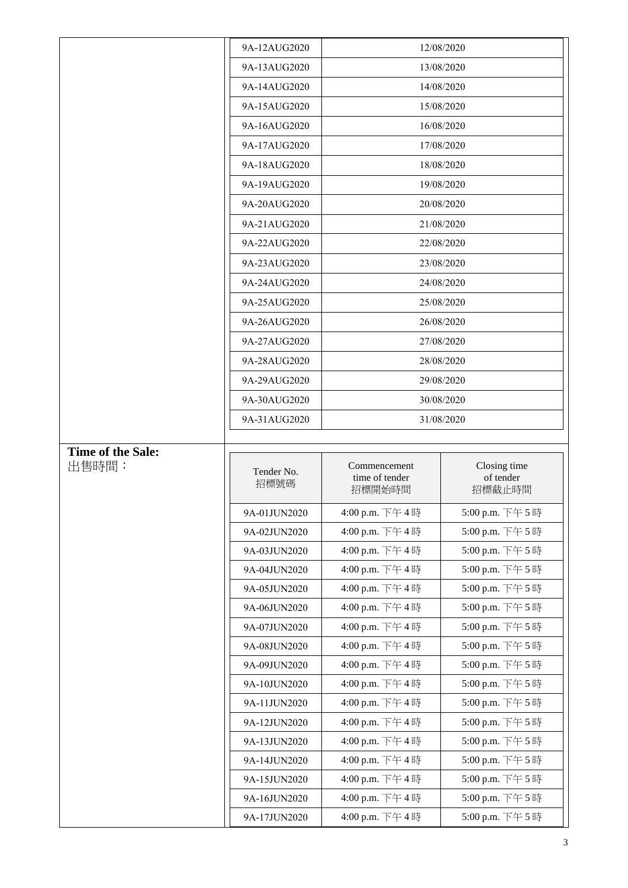|                          | 9A-12AUG2020                 |                                          | 12/08/2020                          |
|--------------------------|------------------------------|------------------------------------------|-------------------------------------|
|                          | 9A-13AUG2020                 |                                          | 13/08/2020                          |
|                          | 9A-14AUG2020                 |                                          | 14/08/2020                          |
|                          | 9A-15AUG2020                 |                                          | 15/08/2020                          |
|                          | 9A-16AUG2020                 |                                          | 16/08/2020                          |
|                          | 9A-17AUG2020                 | 17/08/2020                               |                                     |
|                          | 9A-18AUG2020                 |                                          | 18/08/2020                          |
|                          | 9A-19AUG2020                 | 19/08/2020                               |                                     |
|                          | 9A-20AUG2020                 |                                          | 20/08/2020                          |
|                          | 9A-21AUG2020                 | 21/08/2020                               |                                     |
|                          | 9A-22AUG2020                 | 22/08/2020                               |                                     |
|                          | 9A-23AUG2020                 | 23/08/2020                               |                                     |
|                          | 9A-24AUG2020                 | 24/08/2020                               |                                     |
|                          | 9A-25AUG2020                 |                                          | 25/08/2020                          |
|                          | 9A-26AUG2020                 |                                          | 26/08/2020                          |
|                          | 9A-27AUG2020                 |                                          | 27/08/2020                          |
|                          | 9A-28AUG2020                 |                                          | 28/08/2020                          |
|                          | 9A-29AUG2020                 |                                          | 29/08/2020                          |
|                          | 9A-30AUG2020                 |                                          | 30/08/2020                          |
|                          | 9A-31AUG2020                 | 31/08/2020                               |                                     |
| <b>Time of the Sale:</b> |                              |                                          |                                     |
|                          |                              |                                          |                                     |
| 出售時間:                    | Tender No.<br>招標號碼           | Commencement<br>time of tender<br>招標開始時間 | Closing time<br>of tender<br>招標截止時間 |
|                          | 9A-01JUN2020                 | 4:00 p.m. 下午4時                           | 5:00 p.m. 下午5時                      |
|                          | 9A-02JUN2020                 | 4:00 p.m. 下午4時                           | 5:00 p.m. 下午5時                      |
|                          | 9A-03JUN2020                 | 4:00 p.m. 下午4時                           | 5:00 p.m. 下午5時                      |
|                          | 9A-04JUN2020                 | 4:00 p.m. 下午4時                           | 5:00 p.m. 下午5時                      |
|                          | 9A-05JUN2020                 | 4:00 p.m. 下午4時                           | 5:00 p.m. 下午5時                      |
|                          | 9A-06JUN2020                 | 4:00 p.m. 下午4時                           | 5:00 p.m. 下午5時                      |
|                          | 9A-07JUN2020                 | 4:00 p.m. 下午4時                           | 5:00 p.m. 下午5時                      |
|                          | 9A-08JUN2020                 | 4:00 p.m. 下午4時                           | 5:00 p.m. 下午5時                      |
|                          | 9A-09JUN2020                 | 4:00 p.m. 下午4時                           | 5:00 p.m. 下午5時                      |
|                          | 9A-10JUN2020                 | 4:00 p.m. 下午4時                           | 5:00 p.m. 下午5時                      |
|                          | 9A-11JUN2020                 | 4:00 p.m. 下午4時                           | 5:00 p.m. 下午5時                      |
|                          | 9A-12JUN2020                 | 4:00 p.m. 下午4時                           | 5:00 p.m. 下午5時                      |
|                          | 9A-13JUN2020                 | 4:00 p.m. 下午4時                           | 5:00 p.m. 下午5時                      |
|                          | 9A-14JUN2020                 | 4:00 p.m. 下午4時                           | 5:00 p.m. 下午5時                      |
|                          | 9A-15JUN2020                 | 4:00 p.m. 下午4時                           | 5:00 p.m. 下午5時                      |
|                          | 9A-16JUN2020<br>9A-17JUN2020 | 4:00 p.m. 下午4時<br>4:00 p.m. 下午4時         | 5:00 p.m. 下午5時<br>5:00 p.m. 下午5時    |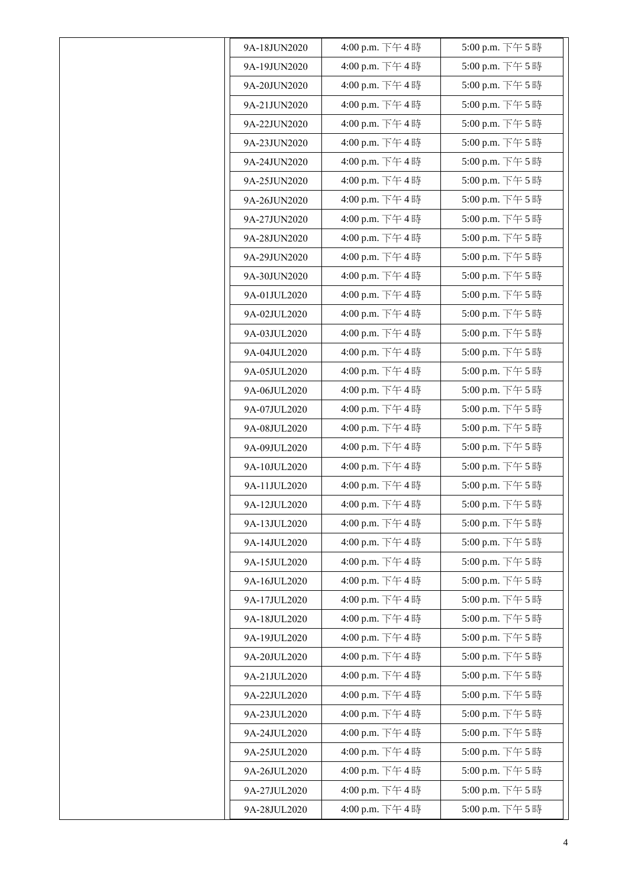| 9A-18JUN2020 | 4:00 p.m. 下午4時 | 5:00 p.m. 下午5時 |
|--------------|----------------|----------------|
| 9A-19JUN2020 | 4:00 p.m. 下午4時 | 5:00 p.m. 下午5時 |
| 9A-20JUN2020 | 4:00 p.m. 下午4時 | 5:00 p.m. 下午5時 |
| 9A-21JUN2020 | 4:00 p.m. 下午4時 | 5:00 p.m. 下午5時 |
| 9A-22JUN2020 | 4:00 p.m. 下午4時 | 5:00 p.m. 下午5時 |
| 9A-23JUN2020 | 4:00 p.m. 下午4時 | 5:00 p.m. 下午5時 |
| 9A-24JUN2020 | 4:00 p.m. 下午4時 | 5:00 p.m. 下午5時 |
| 9A-25JUN2020 | 4:00 p.m. 下午4時 | 5:00 p.m. 下午5時 |
| 9A-26JUN2020 | 4:00 p.m. 下午4時 | 5:00 p.m. 下午5時 |
| 9A-27JUN2020 | 4:00 p.m. 下午4時 | 5:00 p.m. 下午5時 |
| 9A-28JUN2020 | 4:00 p.m. 下午4時 | 5:00 p.m. 下午5時 |
| 9A-29JUN2020 | 4:00 p.m. 下午4時 | 5:00 p.m. 下午5時 |
| 9A-30JUN2020 | 4:00 p.m. 下午4時 | 5:00 p.m. 下午5時 |
| 9A-01JUL2020 | 4:00 p.m. 下午4時 | 5:00 p.m. 下午5時 |
| 9A-02JUL2020 | 4:00 p.m. 下午4時 | 5:00 p.m. 下午5時 |
| 9A-03JUL2020 | 4:00 p.m. 下午4時 | 5:00 p.m. 下午5時 |
| 9A-04JUL2020 | 4:00 p.m. 下午4時 | 5:00 p.m. 下午5時 |
| 9A-05JUL2020 | 4:00 p.m. 下午4時 | 5:00 p.m. 下午5時 |
| 9A-06JUL2020 | 4:00 p.m. 下午4時 | 5:00 p.m. 下午5時 |
| 9A-07JUL2020 | 4:00 p.m. 下午4時 | 5:00 p.m. 下午5時 |
| 9A-08JUL2020 | 4:00 p.m. 下午4時 | 5:00 p.m. 下午5時 |
| 9A-09JUL2020 | 4:00 p.m. 下午4時 | 5:00 p.m. 下午5時 |
| 9A-10JUL2020 | 4:00 p.m. 下午4時 | 5:00 p.m. 下午5時 |
| 9A-11JUL2020 | 4:00 p.m. 下午4時 | 5:00 p.m. 下午5時 |
| 9A-12JUL2020 | 4:00 p.m. 下午4時 | 5:00 p.m. 下午5時 |
| 9A-13JUL2020 | 4:00 p.m. 下午4時 | 5:00 p.m. 下午5時 |
| 9A-14JUL2020 | 4:00 p.m. 下午4時 | 5:00 p.m. 下午5時 |
| 9A-15JUL2020 | 4:00 p.m. 下午4時 | 5:00 p.m. 下午5時 |
| 9A-16JUL2020 | 4:00 p.m. 下午4時 | 5:00 p.m. 下午5時 |
| 9A-17JUL2020 | 4:00 p.m. 下午4時 | 5:00 p.m. 下午5時 |
| 9A-18JUL2020 | 4:00 p.m. 下午4時 | 5:00 p.m. 下午5時 |
| 9A-19JUL2020 | 4:00 p.m. 下午4時 | 5:00 p.m. 下午5時 |
| 9A-20JUL2020 | 4:00 p.m. 下午4時 | 5:00 p.m. 下午5時 |
| 9A-21JUL2020 | 4:00 p.m. 下午4時 | 5:00 p.m. 下午5時 |
| 9A-22JUL2020 | 4:00 p.m. 下午4時 | 5:00 p.m. 下午5時 |
| 9A-23JUL2020 | 4:00 p.m. 下午4時 | 5:00 p.m. 下午5時 |
| 9A-24JUL2020 | 4:00 p.m. 下午4時 | 5:00 p.m. 下午5時 |
| 9A-25JUL2020 | 4:00 p.m. 下午4時 | 5:00 p.m. 下午5時 |
| 9A-26JUL2020 | 4:00 p.m. 下午4時 | 5:00 p.m. 下午5時 |
| 9A-27JUL2020 | 4:00 p.m. 下午4時 | 5:00 p.m. 下午5時 |
| 9A-28JUL2020 | 4:00 p.m. 下午4時 | 5:00 p.m. 下午5時 |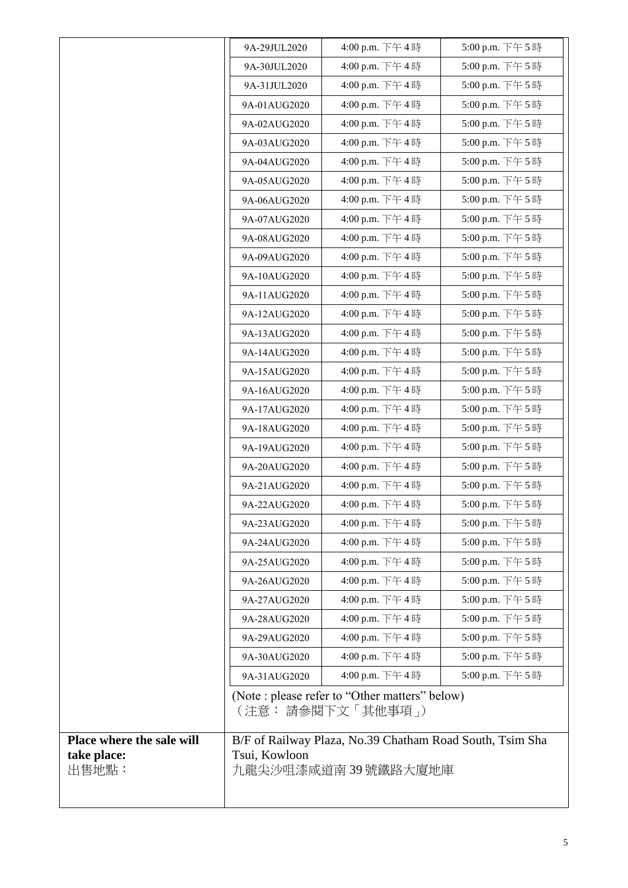|                           | 9A-29JUL2020  | 4:00 p.m. 下午4時                                                      | 5:00 p.m. 下午5時  |
|---------------------------|---------------|---------------------------------------------------------------------|-----------------|
|                           | 9A-30JUL2020  | 4:00 p.m. 下午4時                                                      | 5:00 p.m. 下午 5時 |
|                           | 9A-31JUL2020  | 4:00 p.m. 下午4時                                                      | 5:00 p.m. 下午5時  |
|                           | 9A-01AUG2020  | 4:00 p.m. 下午4時                                                      | 5:00 p.m. 下午5時  |
|                           | 9A-02AUG2020  | 4:00 p.m. 下午4時                                                      | 5:00 p.m. 下午5時  |
|                           | 9A-03AUG2020  | 4:00 p.m. 下午4時                                                      | 5:00 p.m. 下午5時  |
|                           | 9A-04AUG2020  | 4:00 p.m. 下午4時                                                      | 5:00 p.m. 下午5時  |
|                           | 9A-05AUG2020  | 4:00 p.m. 下午4時                                                      | 5:00 p.m. 下午5時  |
|                           | 9A-06AUG2020  | 4:00 p.m. 下午4時                                                      | 5:00 p.m. 下午5時  |
|                           | 9A-07AUG2020  | 4:00 p.m. 下午4時                                                      | 5:00 p.m. 下午5時  |
|                           | 9A-08AUG2020  | 4:00 p.m. 下午4時                                                      | 5:00 p.m. 下午5時  |
|                           | 9A-09AUG2020  | 4:00 p.m. 下午4時                                                      | 5:00 p.m. 下午5時  |
|                           | 9A-10AUG2020  | 4:00 p.m. 下午4時                                                      | 5:00 p.m. 下午5時  |
|                           | 9A-11AUG2020  | 4:00 p.m. 下午4時                                                      | 5:00 p.m. 下午5時  |
|                           | 9A-12AUG2020  | 4:00 p.m. 下午4時                                                      | 5:00 p.m. 下午5時  |
|                           | 9A-13AUG2020  | 4:00 p.m. 下午4時                                                      | 5:00 p.m. 下午5時  |
|                           | 9A-14AUG2020  | 4:00 p.m. 下午4時                                                      | 5:00 p.m. 下午5時  |
|                           | 9A-15AUG2020  | 4:00 p.m. 下午4時                                                      | 5:00 p.m. 下午5時  |
|                           | 9A-16AUG2020  | 4:00 p.m. 下午4時                                                      | 5:00 p.m. 下午5時  |
|                           | 9A-17AUG2020  | 4:00 p.m. 下午4時                                                      | 5:00 p.m. 下午5時  |
|                           | 9A-18AUG2020  | 4:00 p.m. 下午4時                                                      | 5:00 p.m. 下午5時  |
|                           | 9A-19AUG2020  | 4:00 p.m. 下午4時                                                      | 5:00 p.m. 下午5時  |
|                           | 9A-20AUG2020  | 4:00 p.m. 下午4時                                                      | 5:00 p.m. 下午5時  |
|                           | 9A-21AUG2020  | 4:00 p.m. 下午4時                                                      | 5:00 p.m. 下午5時  |
|                           | 9A-22AUG2020  | 4:00 p.m. 下午4時                                                      | 5:00 p.m. 下午5時  |
|                           | 9A-23AUG2020  | 4:00 p.m. 下午4時                                                      | 5:00 p.m. 下午5時  |
|                           | 9A-24AUG2020  | 4:00 p.m. 下午4時                                                      | 5:00 p.m. 下午5時  |
|                           | 9A-25AUG2020  | 4:00 p.m. 下午4時                                                      | 5:00 p.m. 下午5時  |
|                           | 9A-26AUG2020  | 4:00 p.m. 下午4時                                                      | 5:00 p.m. 下午5時  |
|                           | 9A-27AUG2020  | 4:00 p.m. 下午4時                                                      | 5:00 p.m. 下午5時  |
|                           | 9A-28AUG2020  | 4:00 p.m. 下午4時                                                      | 5:00 p.m. 下午5時  |
|                           | 9A-29AUG2020  | 4:00 p.m. 下午4時                                                      | 5:00 p.m. 下午5時  |
|                           | 9A-30AUG2020  | 4:00 p.m. 下午4時                                                      | 5:00 p.m. 下午5時  |
|                           | 9A-31AUG2020  | 4:00 p.m. 下午4時                                                      | 5:00 p.m. 下午5時  |
|                           |               | (Note : please refer to "Other matters" below)<br>(注意: 請參閱下文「其他事項」) |                 |
| Place where the sale will |               | B/F of Railway Plaza, No.39 Chatham Road South, Tsim Sha            |                 |
| take place:<br>出售地點:      | Tsui, Kowloon | 九龍尖沙咀漆咸道南 39 號鐵路大廈地庫                                                |                 |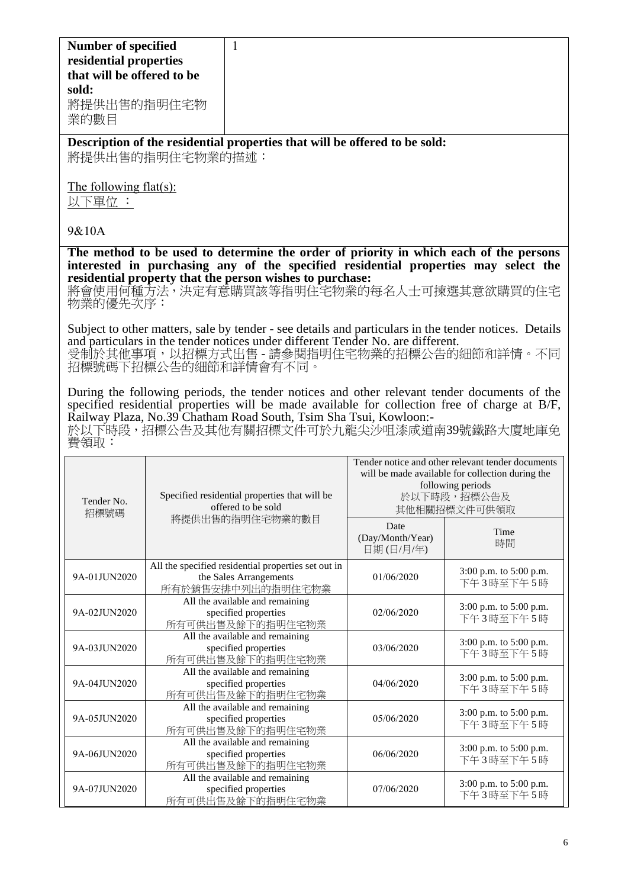| <b>Number of specified</b> |
|----------------------------|
| residential properties     |
| that will be offered to be |
| sold:                      |
| 將提供出售的指明住宅物                |
| 業的數目                       |
|                            |

**Description of the residential properties that will be offered to be sold:** 將提供出售的指明住宅物業的描述:

The following flat(s):

以下單位 :

## 9&10A

**The method to be used to determine the order of priority in which each of the persons interested in purchasing any of the specified residential properties may select the residential property that the person wishes to purchase:** 

將會使用何種方法,決定有意購買該等指明住宅物業的每名人士可揀選其意欲購買的住宅 物業的優先次序:

Subject to other matters, sale by tender - see details and particulars in the tender notices. Details and particulars in the tender notices under different Tender No. are different. 受制於其他事項,以招標方式出售 - 請參閱指明住宅物業的招標公告的細節和詳情。不同 招標號碼下招標公告的細節和詳情會有不同。

During the following periods, the tender notices and other relevant tender documents of the specified residential properties will be made available for collection free of charge at B/F, Railway Plaza, No.39 Chatham Road South, Tsim Sha Tsui, Kowloon:-

於以下時段,招標公告及其他有關招標文件可於九龍尖沙咀漆咸道南39號鐵路大廈地庫免 費領取:

| Tender No.   | Specified residential properties that will be<br>offered to be sold<br>招標號碼<br>將提供出售的指明住宅物業的數目     |                                       | Tender notice and other relevant tender documents<br>will be made available for collection during the<br>following periods<br>於以下時段,招標公告及<br>其他相關招標文件可供領取 |  |
|--------------|----------------------------------------------------------------------------------------------------|---------------------------------------|-----------------------------------------------------------------------------------------------------------------------------------------------------------|--|
|              |                                                                                                    | Date<br>(Day/Month/Year)<br>日期(日/月/年) | Time<br>時間                                                                                                                                                |  |
| 9A-01JUN2020 | All the specified residential properties set out in<br>the Sales Arrangements<br>所有於銷售安排中列出的指明住宅物業 | 01/06/2020                            | 3:00 p.m. to 5:00 p.m.<br>下午3時至下午5時                                                                                                                       |  |
| 9A-02JUN2020 | All the available and remaining<br>specified properties<br>所有可供出售及餘下的指明住宅物業                        | 02/06/2020                            | 3:00 p.m. to 5:00 p.m.<br>下午3時至下午5時                                                                                                                       |  |
| 9A-03JUN2020 | All the available and remaining<br>specified properties<br>所有可供出售及餘下的指明住宅物業                        | 03/06/2020                            | 3:00 p.m. to 5:00 p.m.<br>下午3時至下午5時                                                                                                                       |  |
| 9A-04JUN2020 | All the available and remaining<br>specified properties<br>所有可供出售及餘下的指明住宅物業                        | 04/06/2020                            | 3:00 p.m. to 5:00 p.m.<br>下午3時至下午5時                                                                                                                       |  |
| 9A-05JUN2020 | All the available and remaining<br>specified properties<br>所有可供出售及餘下的指明住宅物業                        | 05/06/2020                            | 3:00 p.m. to 5:00 p.m.<br>下午3時至下午5時                                                                                                                       |  |
| 9A-06JUN2020 | All the available and remaining<br>specified properties<br>所有可供出售及餘下的指明住宅物業                        | 06/06/2020                            | 3:00 p.m. to 5:00 p.m.<br>下午3時至下午5時                                                                                                                       |  |
| 9A-07JUN2020 | All the available and remaining<br>specified properties<br>所有可供出售及餘下的指明住宅物業                        | 07/06/2020                            | 3:00 p.m. to 5:00 p.m.<br>下午3時至下午5時                                                                                                                       |  |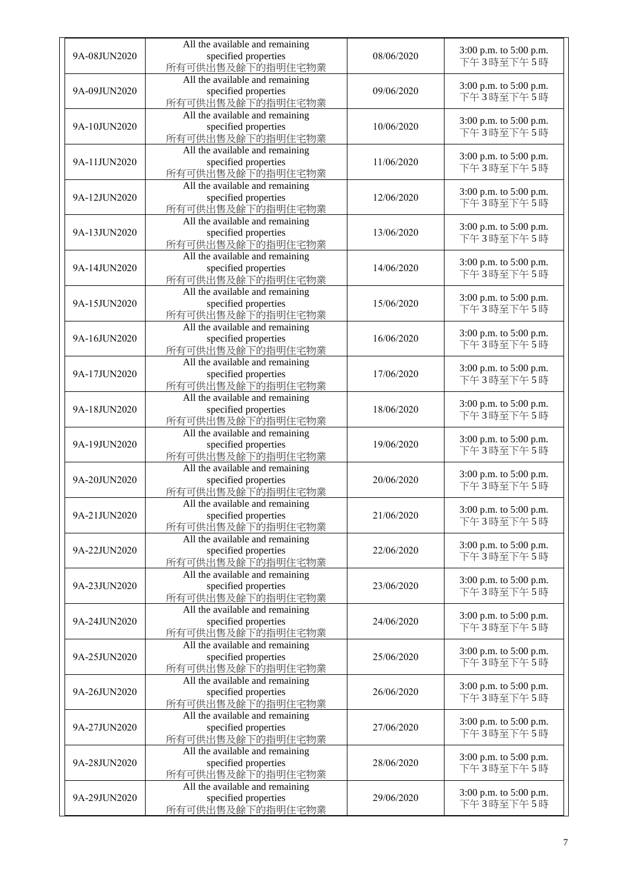| 9A-08JUN2020 | All the available and remaining<br>specified properties<br>所有可供出售及餘下的指明住宅物業 | 08/06/2020 | 3:00 p.m. to 5:00 p.m.<br>下午3時至下午5時 |
|--------------|-----------------------------------------------------------------------------|------------|-------------------------------------|
| 9A-09JUN2020 | All the available and remaining<br>specified properties<br>所有可供出售及餘下的指明住宅物業 | 09/06/2020 | 3:00 p.m. to 5:00 p.m.<br>下午3時至下午5時 |
| 9A-10JUN2020 | All the available and remaining<br>specified properties<br>所有可供出售及餘下的指明住宅物業 | 10/06/2020 | 3:00 p.m. to 5:00 p.m.<br>下午3時至下午5時 |
| 9A-11JUN2020 | All the available and remaining<br>specified properties<br>所有可供出售及餘下的指明住宅物業 | 11/06/2020 | 3:00 p.m. to 5:00 p.m.<br>下午3時至下午5時 |
| 9A-12JUN2020 | All the available and remaining<br>specified properties<br>所有可供出售及餘下的指明住宅物業 | 12/06/2020 | 3:00 p.m. to 5:00 p.m.<br>下午3時至下午5時 |
| 9A-13JUN2020 | All the available and remaining<br>specified properties<br>所有可供出售及餘下的指明住宅物業 | 13/06/2020 | 3:00 p.m. to 5:00 p.m.<br>下午3時至下午5時 |
| 9A-14JUN2020 | All the available and remaining<br>specified properties<br>所有可供出售及餘下的指明住宅物業 | 14/06/2020 | 3:00 p.m. to 5:00 p.m.<br>下午3時至下午5時 |
| 9A-15JUN2020 | All the available and remaining<br>specified properties<br>所有可供出售及餘下的指明住宅物業 | 15/06/2020 | 3:00 p.m. to 5:00 p.m.<br>下午3時至下午5時 |
| 9A-16JUN2020 | All the available and remaining<br>specified properties<br>所有可供出售及餘下的指明住宅物業 | 16/06/2020 | 3:00 p.m. to 5:00 p.m.<br>下午3時至下午5時 |
| 9A-17JUN2020 | All the available and remaining<br>specified properties<br>所有可供出售及餘下的指明住宅物業 | 17/06/2020 | 3:00 p.m. to 5:00 p.m.<br>下午3時至下午5時 |
| 9A-18JUN2020 | All the available and remaining<br>specified properties<br>所有可供出售及餘下的指明住宅物業 | 18/06/2020 | 3:00 p.m. to 5:00 p.m.<br>下午3時至下午5時 |
| 9A-19JUN2020 | All the available and remaining<br>specified properties<br>所有可供出售及餘下的指明住宅物業 | 19/06/2020 | 3:00 p.m. to 5:00 p.m.<br>下午3時至下午5時 |
| 9A-20JUN2020 | All the available and remaining<br>specified properties<br>所有可供出售及餘下的指明住宅物業 | 20/06/2020 | 3:00 p.m. to 5:00 p.m.<br>下午3時至下午5時 |
| 9A-21JUN2020 | All the available and remaining<br>specified properties<br>所有可供出售及餘下的指明住宅物業 | 21/06/2020 | 3:00 p.m. to 5:00 p.m.<br>下午3時至下午5時 |
| 9A-22JUN2020 | All the available and remaining<br>specified properties<br>所有可供出售及餘下的指明住宅物業 | 22/06/2020 | 3:00 p.m. to 5:00 p.m.<br>下午3時至下午5時 |
| 9A-23JUN2020 | All the available and remaining<br>specified properties<br>所有可供出售及餘下的指明住宅物業 | 23/06/2020 | 3:00 p.m. to 5:00 p.m.<br>下午3時至下午5時 |
| 9A-24JUN2020 | All the available and remaining<br>specified properties<br>所有可供出售及餘下的指明住宅物業 | 24/06/2020 | 3:00 p.m. to 5:00 p.m.<br>下午3時至下午5時 |
| 9A-25JUN2020 | All the available and remaining<br>specified properties<br>所有可供出售及餘下的指明住宅物業 | 25/06/2020 | 3:00 p.m. to 5:00 p.m.<br>下午3時至下午5時 |
| 9A-26JUN2020 | All the available and remaining<br>specified properties<br>所有可供出售及餘下的指明住宅物業 | 26/06/2020 | 3:00 p.m. to 5:00 p.m.<br>下午3時至下午5時 |
| 9A-27JUN2020 | All the available and remaining<br>specified properties<br>所有可供出售及餘下的指明住宅物業 | 27/06/2020 | 3:00 p.m. to 5:00 p.m.<br>下午3時至下午5時 |
| 9A-28JUN2020 | All the available and remaining<br>specified properties<br>所有可供出售及餘下的指明住宅物業 | 28/06/2020 | 3:00 p.m. to 5:00 p.m.<br>下午3時至下午5時 |
| 9A-29JUN2020 | All the available and remaining<br>specified properties<br>所有可供出售及餘下的指明住宅物業 | 29/06/2020 | 3:00 p.m. to 5:00 p.m.<br>下午3時至下午5時 |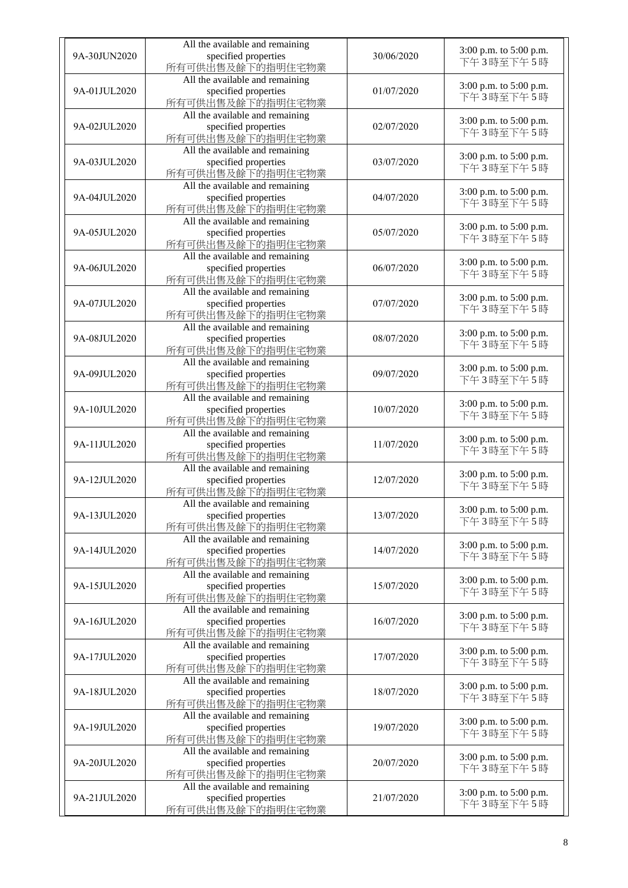| 9A-30JUN2020 | All the available and remaining<br>specified properties<br>所有可供出售及餘下的指明住宅物業 | 30/06/2020 | 3:00 p.m. to 5:00 p.m.<br>下午3時至下午5時 |
|--------------|-----------------------------------------------------------------------------|------------|-------------------------------------|
| 9A-01JUL2020 | All the available and remaining<br>specified properties<br>所有可供出售及餘下的指明住宅物業 | 01/07/2020 | 3:00 p.m. to 5:00 p.m.<br>下午3時至下午5時 |
| 9A-02JUL2020 | All the available and remaining<br>specified properties<br>所有可供出售及餘下的指明住宅物業 | 02/07/2020 | 3:00 p.m. to 5:00 p.m.<br>下午3時至下午5時 |
| 9A-03JUL2020 | All the available and remaining<br>specified properties<br>所有可供出售及餘下的指明住宅物業 | 03/07/2020 | 3:00 p.m. to 5:00 p.m.<br>下午3時至下午5時 |
| 9A-04JUL2020 | All the available and remaining<br>specified properties<br>所有可供出售及餘下的指明住宅物業 | 04/07/2020 | 3:00 p.m. to 5:00 p.m.<br>下午3時至下午5時 |
| 9A-05JUL2020 | All the available and remaining<br>specified properties<br>所有可供出售及餘下的指明住宅物業 | 05/07/2020 | 3:00 p.m. to 5:00 p.m.<br>下午3時至下午5時 |
| 9A-06JUL2020 | All the available and remaining<br>specified properties<br>所有可供出售及餘下的指明住宅物業 | 06/07/2020 | 3:00 p.m. to 5:00 p.m.<br>下午3時至下午5時 |
| 9A-07JUL2020 | All the available and remaining<br>specified properties<br>所有可供出售及餘下的指明住宅物業 | 07/07/2020 | 3:00 p.m. to 5:00 p.m.<br>下午3時至下午5時 |
| 9A-08JUL2020 | All the available and remaining<br>specified properties<br>所有可供出售及餘下的指明住宅物業 | 08/07/2020 | 3:00 p.m. to 5:00 p.m.<br>下午3時至下午5時 |
| 9A-09JUL2020 | All the available and remaining<br>specified properties<br>所有可供出售及餘下的指明住宅物業 | 09/07/2020 | 3:00 p.m. to 5:00 p.m.<br>下午3時至下午5時 |
| 9A-10JUL2020 | All the available and remaining<br>specified properties<br>所有可供出售及餘下的指明住宅物業 | 10/07/2020 | 3:00 p.m. to 5:00 p.m.<br>下午3時至下午5時 |
| 9A-11JUL2020 | All the available and remaining<br>specified properties<br>所有可供出售及餘下的指明住宅物業 | 11/07/2020 | 3:00 p.m. to 5:00 p.m.<br>下午3時至下午5時 |
| 9A-12JUL2020 | All the available and remaining<br>specified properties<br>所有可供出售及餘下的指明住宅物業 | 12/07/2020 | 3:00 p.m. to 5:00 p.m.<br>下午3時至下午5時 |
| 9A-13JUL2020 | All the available and remaining<br>specified properties<br>所有可供出售及餘下的指明住宅物業 | 13/07/2020 | 3:00 p.m. to 5:00 p.m.<br>下午3時至下午5時 |
| 9A-14JUL2020 | All the available and remaining<br>specified properties<br>所有可供出售及餘下的指明住宅物業 | 14/07/2020 | 3:00 p.m. to 5:00 p.m.<br>下午3時至下午5時 |
| 9A-15JUL2020 | All the available and remaining<br>specified properties<br>所有可供出售及餘下的指明住宅物業 | 15/07/2020 | 3:00 p.m. to 5:00 p.m.<br>下午3時至下午5時 |
| 9A-16JUL2020 | All the available and remaining<br>specified properties<br>所有可供出售及餘下的指明住宅物業 | 16/07/2020 | 3:00 p.m. to 5:00 p.m.<br>下午3時至下午5時 |
| 9A-17JUL2020 | All the available and remaining<br>specified properties<br>所有可供出售及餘下的指明住宅物業 | 17/07/2020 | 3:00 p.m. to 5:00 p.m.<br>下午3時至下午5時 |
| 9A-18JUL2020 | All the available and remaining<br>specified properties<br>所有可供出售及餘下的指明住宅物業 | 18/07/2020 | 3:00 p.m. to 5:00 p.m.<br>下午3時至下午5時 |
| 9A-19JUL2020 | All the available and remaining<br>specified properties<br>所有可供出售及餘下的指明住宅物業 | 19/07/2020 | 3:00 p.m. to 5:00 p.m.<br>下午3時至下午5時 |
| 9A-20JUL2020 | All the available and remaining<br>specified properties<br>所有可供出售及餘下的指明住宅物業 | 20/07/2020 | 3:00 p.m. to 5:00 p.m.<br>下午3時至下午5時 |
| 9A-21JUL2020 | All the available and remaining<br>specified properties<br>所有可供出售及餘下的指明住宅物業 | 21/07/2020 | 3:00 p.m. to 5:00 p.m.<br>下午3時至下午5時 |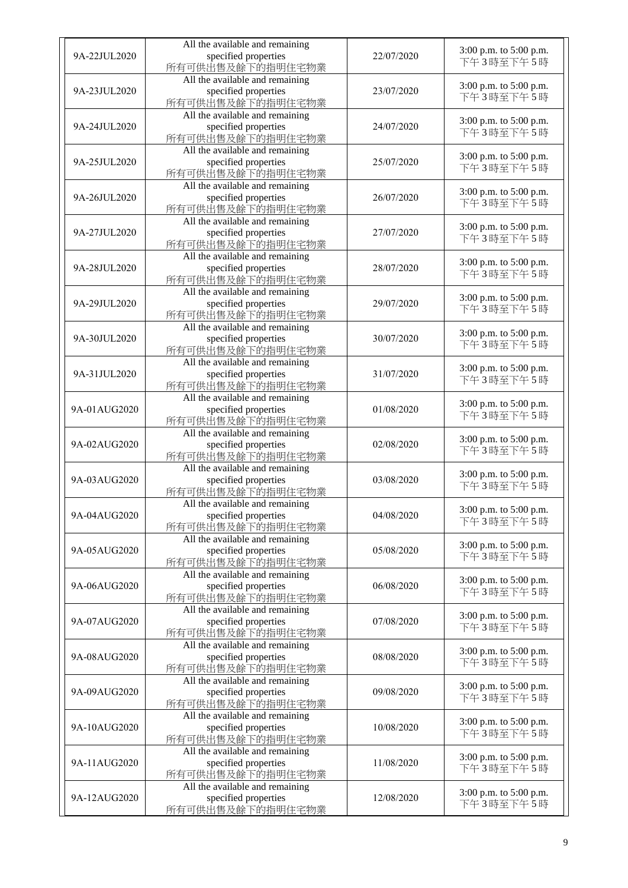| 9A-22JUL2020 | All the available and remaining<br>specified properties<br>所有可供出售及餘下的指明住宅物業 | 22/07/2020 | 3:00 p.m. to 5:00 p.m.<br>下午3時至下午5時 |
|--------------|-----------------------------------------------------------------------------|------------|-------------------------------------|
| 9A-23JUL2020 | All the available and remaining<br>specified properties<br>所有可供出售及餘下的指明住宅物業 | 23/07/2020 | 3:00 p.m. to 5:00 p.m.<br>下午3時至下午5時 |
| 9A-24JUL2020 | All the available and remaining<br>specified properties<br>所有可供出售及餘下的指明住宅物業 | 24/07/2020 | 3:00 p.m. to 5:00 p.m.<br>下午3時至下午5時 |
| 9A-25JUL2020 | All the available and remaining<br>specified properties<br>所有可供出售及餘下的指明住宅物業 | 25/07/2020 | 3:00 p.m. to 5:00 p.m.<br>下午3時至下午5時 |
| 9A-26JUL2020 | All the available and remaining<br>specified properties<br>所有可供出售及餘下的指明住宅物業 | 26/07/2020 | 3:00 p.m. to 5:00 p.m.<br>下午3時至下午5時 |
| 9A-27JUL2020 | All the available and remaining<br>specified properties<br>所有可供出售及餘下的指明住宅物業 | 27/07/2020 | 3:00 p.m. to 5:00 p.m.<br>下午3時至下午5時 |
| 9A-28JUL2020 | All the available and remaining<br>specified properties<br>所有可供出售及餘下的指明住宅物業 | 28/07/2020 | 3:00 p.m. to 5:00 p.m.<br>下午3時至下午5時 |
| 9A-29JUL2020 | All the available and remaining<br>specified properties<br>所有可供出售及餘下的指明住宅物業 | 29/07/2020 | 3:00 p.m. to 5:00 p.m.<br>下午3時至下午5時 |
| 9A-30JUL2020 | All the available and remaining<br>specified properties<br>所有可供出售及餘下的指明住宅物業 | 30/07/2020 | 3:00 p.m. to 5:00 p.m.<br>下午3時至下午5時 |
| 9A-31JUL2020 | All the available and remaining<br>specified properties<br>所有可供出售及餘下的指明住宅物業 | 31/07/2020 | 3:00 p.m. to 5:00 p.m.<br>下午3時至下午5時 |
| 9A-01AUG2020 | All the available and remaining<br>specified properties<br>所有可供出售及餘下的指明住宅物業 | 01/08/2020 | 3:00 p.m. to 5:00 p.m.<br>下午3時至下午5時 |
| 9A-02AUG2020 | All the available and remaining<br>specified properties<br>所有可供出售及餘下的指明住宅物業 | 02/08/2020 | 3:00 p.m. to 5:00 p.m.<br>下午3時至下午5時 |
| 9A-03AUG2020 | All the available and remaining<br>specified properties<br>所有可供出售及餘下的指明住宅物業 | 03/08/2020 | 3:00 p.m. to 5:00 p.m.<br>下午3時至下午5時 |
| 9A-04AUG2020 | All the available and remaining<br>specified properties<br>所有可供出售及餘下的指明住宅物業 | 04/08/2020 | 3:00 p.m. to 5:00 p.m.<br>下午3時至下午5時 |
| 9A-05AUG2020 | All the available and remaining<br>specified properties<br>所有可供出售及餘下的指明住宅物業 | 05/08/2020 | 3:00 p.m. to 5:00 p.m.<br>下午3時至下午5時 |
| 9A-06AUG2020 | All the available and remaining<br>specified properties<br>所有可供出售及餘下的指明住宅物業 | 06/08/2020 | 3:00 p.m. to 5:00 p.m.<br>下午3時至下午5時 |
| 9A-07AUG2020 | All the available and remaining<br>specified properties<br>所有可供出售及餘下的指明住宅物業 | 07/08/2020 | 3:00 p.m. to 5:00 p.m.<br>下午3時至下午5時 |
| 9A-08AUG2020 | All the available and remaining<br>specified properties<br>所有可供出售及餘下的指明住宅物業 | 08/08/2020 | 3:00 p.m. to 5:00 p.m.<br>下午3時至下午5時 |
| 9A-09AUG2020 | All the available and remaining<br>specified properties<br>所有可供出售及餘下的指明住宅物業 | 09/08/2020 | 3:00 p.m. to 5:00 p.m.<br>下午3時至下午5時 |
| 9A-10AUG2020 | All the available and remaining<br>specified properties<br>所有可供出售及餘下的指明住宅物業 | 10/08/2020 | 3:00 p.m. to 5:00 p.m.<br>下午3時至下午5時 |
| 9A-11AUG2020 | All the available and remaining<br>specified properties<br>所有可供出售及餘下的指明住宅物業 | 11/08/2020 | 3:00 p.m. to 5:00 p.m.<br>下午3時至下午5時 |
| 9A-12AUG2020 | All the available and remaining<br>specified properties<br>所有可供出售及餘下的指明住宅物業 | 12/08/2020 | 3:00 p.m. to 5:00 p.m.<br>下午3時至下午5時 |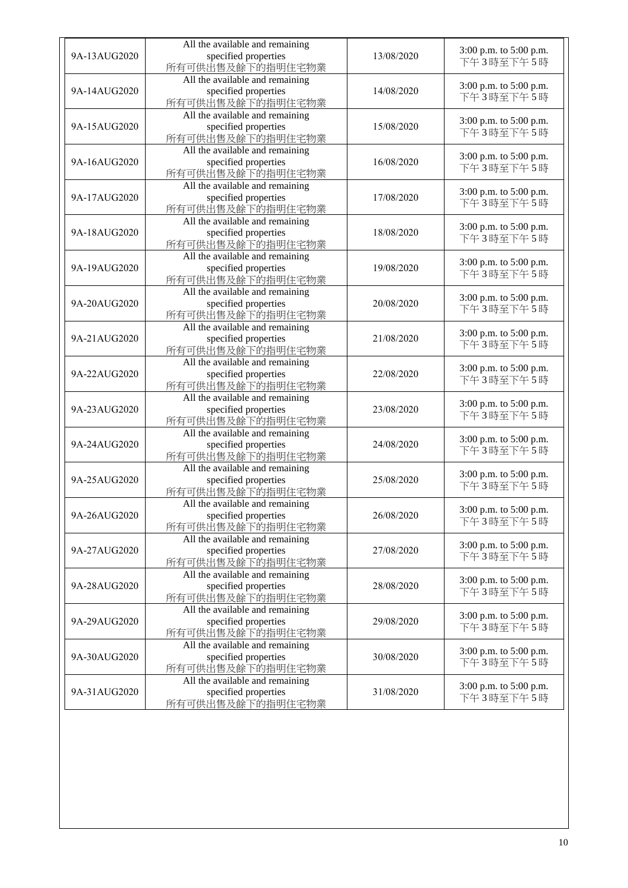|              | All the available and remaining                         |            |                                     |
|--------------|---------------------------------------------------------|------------|-------------------------------------|
| 9A-13AUG2020 | specified properties                                    | 13/08/2020 | 3:00 p.m. to 5:00 p.m.              |
|              | 所有可供出售及餘下的指明住宅物業                                        |            | 下午3時至下午5時                           |
|              | All the available and remaining                         |            | 3:00 p.m. to 5:00 p.m.              |
| 9A-14AUG2020 | specified properties                                    | 14/08/2020 | 下午3時至下午5時                           |
|              | 所有可供出售及餘下的指明住宅物業                                        |            |                                     |
|              | All the available and remaining                         |            | 3:00 p.m. to 5:00 p.m.              |
| 9A-15AUG2020 | specified properties<br>所有可供出售及餘下的指明住宅物業                | 15/08/2020 | 下午3時至下午5時                           |
|              | All the available and remaining                         |            |                                     |
| 9A-16AUG2020 | specified properties                                    | 16/08/2020 | 3:00 p.m. to 5:00 p.m.              |
|              | 所有可供出售及餘下的指明住宅物業                                        |            | 下午3時至下午5時                           |
|              | All the available and remaining                         |            |                                     |
| 9A-17AUG2020 | specified properties                                    | 17/08/2020 | 3:00 p.m. to 5:00 p.m.<br>下午3時至下午5時 |
|              | 所有可供出售及餘下的指明住宅物業                                        |            |                                     |
|              | All the available and remaining                         |            | 3:00 p.m. to 5:00 p.m.              |
| 9A-18AUG2020 | specified properties                                    | 18/08/2020 | 下午3時至下午5時                           |
|              | 所有可供出售及餘下的指明住宅物業                                        |            |                                     |
| 9A-19AUG2020 | All the available and remaining<br>specified properties | 19/08/2020 | 3:00 p.m. to 5:00 p.m.              |
|              | 所有可供出售及餘下的指明住宅物業                                        |            | 下午3時至下午5時                           |
|              | All the available and remaining                         |            |                                     |
| 9A-20AUG2020 | specified properties                                    | 20/08/2020 | 3:00 p.m. to 5:00 p.m.              |
|              | 所有可供出售及餘下的指明住宅物業                                        |            | 下午3時至下午5時                           |
|              | All the available and remaining                         |            | 3:00 p.m. to 5:00 p.m.              |
| 9A-21AUG2020 | specified properties                                    | 21/08/2020 | 下午3時至下午5時                           |
|              | 所有可供出售及餘下的指明住宅物業                                        |            |                                     |
|              | All the available and remaining                         |            | 3:00 p.m. to 5:00 p.m.              |
| 9A-22AUG2020 | specified properties<br>所有可供出售及餘下的指明住宅物業                | 22/08/2020 | 下午3時至下午5時                           |
|              | All the available and remaining                         |            |                                     |
| 9A-23AUG2020 | specified properties                                    | 23/08/2020 | 3:00 p.m. to 5:00 p.m.              |
|              | 所有可供出售及餘下的指明住宅物業                                        |            | 下午3時至下午5時                           |
|              | All the available and remaining                         |            | 3:00 p.m. to 5:00 p.m.              |
| 9A-24AUG2020 | specified properties                                    | 24/08/2020 | 下午3時至下午5時                           |
|              | 所有可供出售及餘下的指明住宅物業                                        |            |                                     |
|              | All the available and remaining                         |            | 3:00 p.m. to 5:00 p.m.              |
| 9A-25AUG2020 | specified properties<br>所有可供出售及餘下的指明住宅物業                | 25/08/2020 | 下午3時至下午5時                           |
|              | All the available and remaining                         |            |                                     |
| 9A-26AUG2020 | specified properties                                    | 26/08/2020 | 3:00 p.m. to 5:00 p.m.              |
|              | 所有可供出售及餘下的指明住宅物業                                        |            | 下午3時至下午5時                           |
|              | All the available and remaining                         |            | 3:00 p.m. to 5:00 p.m.              |
| 9A-27AUG2020 | specified properties                                    | 27/08/2020 | 下午3時至下午5時                           |
|              | 所有可供出售及餘下的指明住宅物業                                        |            |                                     |
|              | All the available and remaining                         |            | 3:00 p.m. to 5:00 p.m.              |
| 9A-28AUG2020 | specified properties<br>所有可供出售及餘下的指明住宅物業                | 28/08/2020 | 下午3時至下午5時                           |
|              | All the available and remaining                         |            |                                     |
| 9A-29AUG2020 | specified properties                                    | 29/08/2020 | 3:00 p.m. to 5:00 p.m.              |
|              | 所有可供出售及餘下的指明住宅物業                                        |            | 下午3時至下午5時                           |
|              | All the available and remaining                         |            |                                     |
| 9A-30AUG2020 | specified properties                                    | 30/08/2020 | 3:00 p.m. to 5:00 p.m.<br>下午3時至下午5時 |
|              | 所有可供出售及餘下的指明住宅物業                                        |            |                                     |
|              | All the available and remaining                         |            | 3:00 p.m. to 5:00 p.m.              |
| 9A-31AUG2020 | specified properties                                    | 31/08/2020 | 下午3時至下午5時                           |
|              | 所有可供出售及餘下的指明住宅物業                                        |            |                                     |